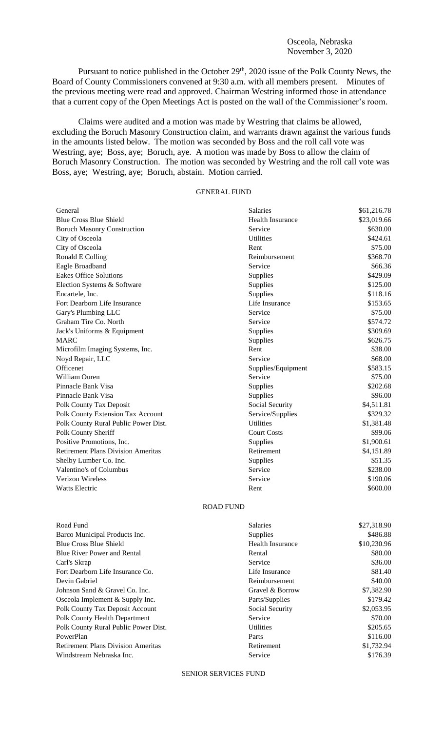Pursuant to notice published in the October 29<sup>th</sup>, 2020 issue of the Polk County News, the Board of County Commissioners convened at 9:30 a.m. with all members present. Minutes of the previous meeting were read and approved. Chairman Westring informed those in attendance that a current copy of the Open Meetings Act is posted on the wall of the Commissioner's room.

Claims were audited and a motion was made by Westring that claims be allowed, excluding the Boruch Masonry Construction claim, and warrants drawn against the various funds in the amounts listed below. The motion was seconded by Boss and the roll call vote was Westring, aye; Boss, aye; Boruch, aye. A motion was made by Boss to allow the claim of Boruch Masonry Construction. The motion was seconded by Westring and the roll call vote was Boss, aye; Westring, aye; Boruch, abstain. Motion carried.

## GENERAL FUND

| General                                   | Salaries                | \$61,216.78 |
|-------------------------------------------|-------------------------|-------------|
| <b>Blue Cross Blue Shield</b>             | <b>Health Insurance</b> | \$23,019.66 |
| <b>Boruch Masonry Construction</b>        | Service                 | \$630.00    |
| City of Osceola                           | <b>Utilities</b>        | \$424.61    |
| City of Osceola                           | Rent                    | \$75.00     |
| Ronald E Colling                          | Reimbursement           | \$368.70    |
| Eagle Broadband                           | Service                 | \$66.36     |
| <b>Eakes Office Solutions</b>             | Supplies                | \$429.09    |
| Election Systems & Software               | Supplies                | \$125.00    |
| Encartele, Inc.                           | Supplies                | \$118.16    |
| Fort Dearborn Life Insurance              | Life Insurance          | \$153.65    |
| Gary's Plumbing LLC                       | Service                 | \$75.00     |
| Graham Tire Co. North                     | Service                 | \$574.72    |
| Jack's Uniforms & Equipment               | Supplies                | \$309.69    |
| <b>MARC</b>                               | Supplies                | \$626.75    |
| Microfilm Imaging Systems, Inc.           | Rent                    | \$38.00     |
| Noyd Repair, LLC                          | Service                 | \$68.00     |
| Officenet                                 | Supplies/Equipment      | \$583.15    |
| William Ouren                             | Service                 | \$75.00     |
| Pinnacle Bank Visa                        | Supplies                | \$202.68    |
| Pinnacle Bank Visa                        | Supplies                | \$96.00     |
| Polk County Tax Deposit                   | Social Security         | \$4,511.81  |
| Polk County Extension Tax Account         | Service/Supplies        | \$329.32    |
| Polk County Rural Public Power Dist.      | <b>Utilities</b>        | \$1,381.48  |
| Polk County Sheriff                       | <b>Court Costs</b>      | \$99.06     |
| Positive Promotions, Inc.                 | Supplies                | \$1,900.61  |
| <b>Retirement Plans Division Ameritas</b> | Retirement              | \$4,151.89  |
| Shelby Lumber Co. Inc.                    | Supplies                | \$51.35     |
| Valentino's of Columbus                   | Service                 | \$238.00    |
| Verizon Wireless                          | Service                 | \$190.06    |
| Watts Electric                            | Rent                    | \$600.00    |
| <b>ROAD FUND</b>                          |                         |             |

| Road Fund                                 | <b>Salaries</b>         | \$27,318.90 |
|-------------------------------------------|-------------------------|-------------|
| Barco Municipal Products Inc.             | <b>Supplies</b>         | \$486.88    |
| <b>Blue Cross Blue Shield</b>             | <b>Health Insurance</b> | \$10,230.96 |
| <b>Blue River Power and Rental</b>        | Rental                  | \$80.00     |
| Carl's Skrap                              | Service                 | \$36.00     |
| Fort Dearborn Life Insurance Co.          | Life Insurance          | \$81.40     |
| Devin Gabriel                             | Reimbursement           | \$40.00     |
| Johnson Sand & Gravel Co. Inc.            | Gravel & Borrow         | \$7,382.90  |
| Osceola Implement & Supply Inc.           | Parts/Supplies          | \$179.42    |
| Polk County Tax Deposit Account           | Social Security         | \$2,053.95  |
| Polk County Health Department             | Service                 | \$70.00     |
| Polk County Rural Public Power Dist.      | <b>Utilities</b>        | \$205.65    |
| PowerPlan                                 | Parts                   | \$116.00    |
| <b>Retirement Plans Division Ameritas</b> | Retirement              | \$1,732.94  |
| Windstream Nebraska Inc.                  | Service                 | \$176.39    |
|                                           |                         |             |

SENIOR SERVICES FUND